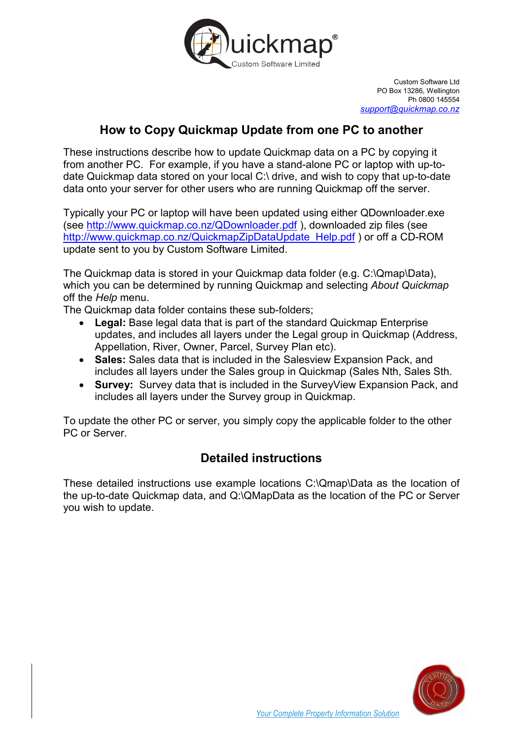

Custom Software Ltd PO Box 13286, Wellington Ph 0800 145554 support@quickmap.co.nz

## How to Copy Quickmap Update from one PC to another

These instructions describe how to update Quickmap data on a PC by copying it from another PC. For example, if you have a stand-alone PC or laptop with up-todate Quickmap data stored on your local C:\ drive, and wish to copy that up-to-date data onto your server for other users who are running Quickmap off the server.

Typically your PC or laptop will have been updated using either QDownloader.exe (see http://www.quickmap.co.nz/QDownloader.pdf ), downloaded zip files (see http://www.quickmap.co.nz/QuickmapZipDataUpdate\_Help.pdf ) or off a CD-ROM update sent to you by Custom Software Limited.

The Quickmap data is stored in your Quickmap data folder (e.g. C:\Qmap\Data), which you can be determined by running Quickmap and selecting About Quickmap off the Help menu.

The Quickmap data folder contains these sub-folders;

- Legal: Base legal data that is part of the standard Quickmap Enterprise updates, and includes all layers under the Legal group in Quickmap (Address, Appellation, River, Owner, Parcel, Survey Plan etc).
- Sales: Sales data that is included in the Salesview Expansion Pack, and includes all layers under the Sales group in Quickmap (Sales Nth, Sales Sth.
- Survey: Survey data that is included in the Survey View Expansion Pack, and includes all layers under the Survey group in Quickmap.

To update the other PC or server, you simply copy the applicable folder to the other PC or Server.

# Detailed instructions

These detailed instructions use example locations C:\Qmap\Data as the location of the up-to-date Quickmap data, and Q:\QMapData as the location of the PC or Server you wish to update.

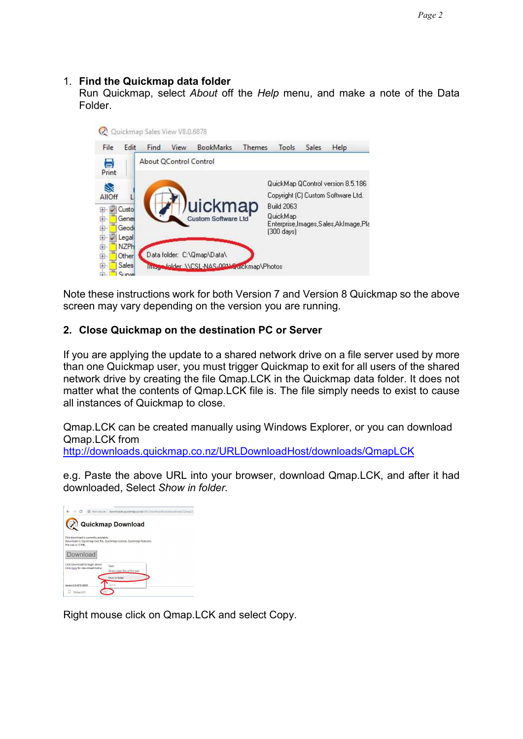#### 1. Find the Quickmap data folder

Run Quickmap, select About off the Help menu, and make a note of the Data Folder.



Note these instructions work for both Version 7 and Version 8 Quickmap so the above screen may vary depending on the version you are running.

#### 2. Close Quickmap on the destination PC or Server

If you are applying the update to a shared network drive on a file server used by more than one Quickmap user, you must trigger Quickmap to exit for all users of the shared network drive by creating the file Qmap.LCK in the Quickmap data folder. It does not matter what the contents of Qmap.LCK file is. The file simply needs to exist to cause all instances of Quickmap to close.

Qmap.LCK can be created manually using Windows Explorer, or you can download Qmap.LCK from

http://downloads.quickmap.co.nz/URLDownloadHost/downloads/QmapLCK

e.g. Paste the above URL into your browser, download Qmap.LCK, and after it had downloaded, Select Show in folder.

|                                                                 | 4 Not secure   downloads.quickmap.co.nz/URLDownloadHost/downloads/QmapLC |
|-----------------------------------------------------------------|--------------------------------------------------------------------------|
|                                                                 | Quickmap Download                                                        |
| This download is currently available.<br>File size is: 0 MB.    | Download is: Quickmap lock file, Quickmap License, Quickmap Features.    |
| Download                                                        |                                                                          |
| Click Download to begin down<br>Click here for download instrui | Open<br>Always open files of this type                                   |
| Version 8.0 6878 29685                                          | Show in folder<br>Cancel                                                 |
| Omap.LCK                                                        |                                                                          |

Right mouse click on Qmap.LCK and select Copy.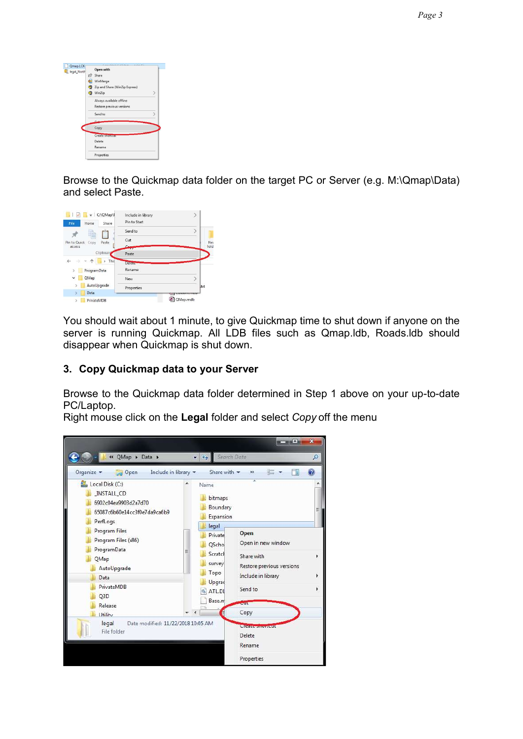| Qmap.LCK<br>legal_North | Open with                           |               |
|-------------------------|-------------------------------------|---------------|
|                         | Share<br>جما                        |               |
|                         | WinMerge                            |               |
|                         | Zip and Share (WinZip Express)<br>G |               |
|                         | WinZip                              | $\mathcal{E}$ |
|                         | Always available offline            |               |
|                         | Restore previous versions           |               |
|                         | Send to                             | N             |
|                         |                                     |               |
|                         | Copy                                |               |
|                         | <b>Create shortous</b>              |               |
|                         | Delete                              |               |
|                         | Rename                              |               |
|                         | Properties                          |               |

Browse to the Quickmap data folder on the target PC or Server (e.g. M:\Qmap\Data) and select Paste.



You should wait about 1 minute, to give Quickmap time to shut down if anyone on the server is running Quickmap. All LDB files such as Qmap.ldb, Roads.ldb should disappear when Quickmap is shut down.

### 3. Copy Quickmap data to your Server

Browse to the Quickmap data folder determined in Step 1 above on your up-to-date PC/Laptop.

Right mouse click on the Legal folder and select Copy off the menu

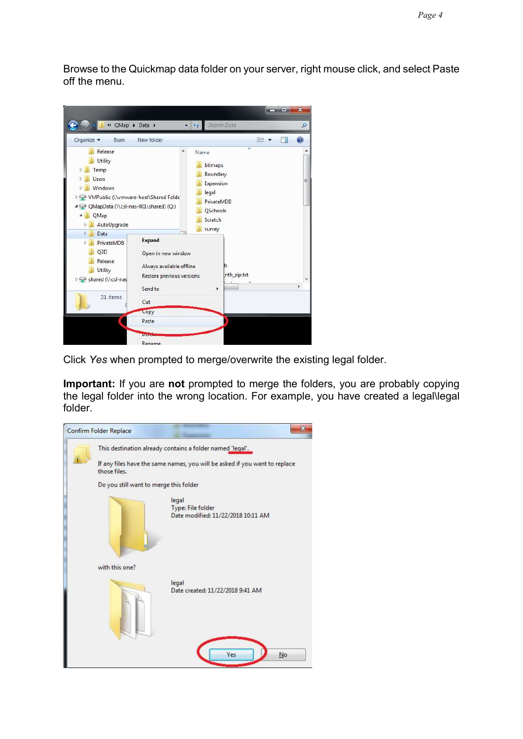Browse to the Quickmap data folder on your server, right mouse click, and select Paste off the menu.



Click Yes when prompted to merge/overwrite the existing legal folder.

Important: If you are not prompted to merge the folders, you are probably copying the legal folder into the wrong location. For example, you have created a legal\legal folder.

| $\mathbf{x}$<br>Confirm Folder Replace                                                     |
|--------------------------------------------------------------------------------------------|
| This destination already contains a folder named 'legal'.                                  |
| If any files have the same names, you will be asked if you want to replace<br>those files. |
| Do you still want to merge this folder                                                     |
| legal<br>Type: File folder<br>Date modified: 11/22/2018 10:11 AM                           |
| with this one?                                                                             |
| legal<br>Date created: 11/22/2018 9:41 AM                                                  |
| Yes<br>No                                                                                  |